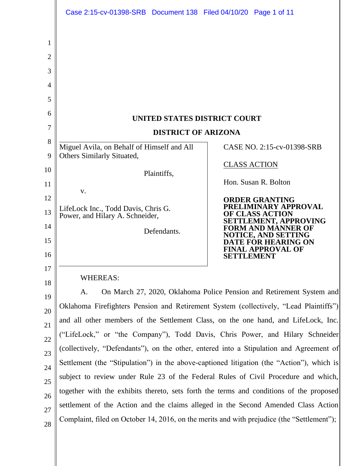|                                  | Case 2:15-cv-01398-SRB Document 138 Filed 04/10/20 Page 1 of 11                                                                                                                      |                                                                                                                                                                                                                       |  |
|----------------------------------|--------------------------------------------------------------------------------------------------------------------------------------------------------------------------------------|-----------------------------------------------------------------------------------------------------------------------------------------------------------------------------------------------------------------------|--|
| 1<br>2<br>3<br>4<br>5<br>6       |                                                                                                                                                                                      |                                                                                                                                                                                                                       |  |
| 7                                | UNITED STATES DISTRICT COURT<br><b>DISTRICT OF ARIZONA</b>                                                                                                                           |                                                                                                                                                                                                                       |  |
| 8                                | Miguel Avila, on Behalf of Himself and All                                                                                                                                           | CASE NO. 2:15-cv-01398-SRB                                                                                                                                                                                            |  |
| 9                                | Others Similarly Situated,                                                                                                                                                           |                                                                                                                                                                                                                       |  |
| 10                               | Plaintiffs,                                                                                                                                                                          | <b>CLASS ACTION</b>                                                                                                                                                                                                   |  |
| 11                               | V.                                                                                                                                                                                   | Hon. Susan R. Bolton                                                                                                                                                                                                  |  |
| 12<br>13<br>14<br>15<br>16<br>17 | LifeLock Inc., Todd Davis, Chris G.<br>Power, and Hilary A. Schneider,<br>Defendants.                                                                                                | <b>ORDER GRANTING</b><br>PRELIMINARY APPROVAL<br><b>OF CLASS ACTION</b><br>SETTLEMENT, APPROVING<br><b>FORM AND MANNER OF</b><br><b>NOTICE, AND SETTING</b><br>DATE FOR HEARING ON<br>FINAL APPROVAL OF<br>SETTLEMENT |  |
| 18                               | <b>WHEREAS:</b>                                                                                                                                                                      |                                                                                                                                                                                                                       |  |
| 19                               | On March 27, 2020, Oklahoma Police Pension and Retirement System and<br>A.                                                                                                           |                                                                                                                                                                                                                       |  |
| 20                               | Oklahoma Firefighters Pension and Retirement System (collectively, "Lead Plaintiffs")                                                                                                |                                                                                                                                                                                                                       |  |
| 21                               | and all other members of the Settlement Class, on the one hand, and LifeLock, Inc.                                                                                                   |                                                                                                                                                                                                                       |  |
| 22                               | ("LifeLock," or "the Company"), Todd Davis, Chris Power, and Hilary Schneider                                                                                                        |                                                                                                                                                                                                                       |  |
| 23                               | (collectively, "Defendants"), on the other, entered into a Stipulation and Agreement of<br>Settlement (the "Stipulation") in the above-captioned litigation (the "Action"), which is |                                                                                                                                                                                                                       |  |
| 24                               | subject to review under Rule 23 of the Federal Rules of Civil Procedure and which,                                                                                                   |                                                                                                                                                                                                                       |  |
| 25                               | together with the exhibits thereto, sets forth the terms and conditions of the proposed                                                                                              |                                                                                                                                                                                                                       |  |
| 26<br>27                         | settlement of the Action and the claims alleged in the Second Amended Class Action                                                                                                   |                                                                                                                                                                                                                       |  |
| 28                               | Complaint, filed on October 14, 2016, on the merits and with prejudice (the "Settlement");                                                                                           |                                                                                                                                                                                                                       |  |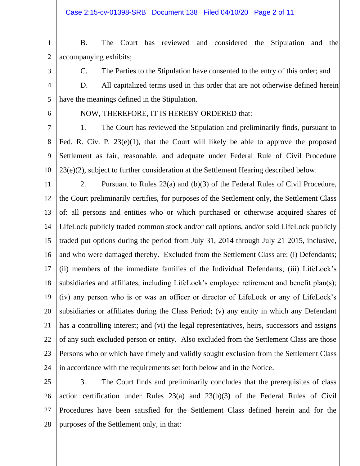Case 2:15-cv-01398-SRB Document 138 Filed 04/10/20 Page 2 of 11

1 2 B. The Court has reviewed and considered the Stipulation and the accompanying exhibits;

3

C. The Parties to the Stipulation have consented to the entry of this order; and

4 5 D. All capitalized terms used in this order that are not otherwise defined herein have the meanings defined in the Stipulation.

6

NOW, THEREFORE, IT IS HEREBY ORDERED that:

7 8 9 10 1. The Court has reviewed the Stipulation and preliminarily finds, pursuant to Fed. R. Civ. P. 23(e)(1), that the Court will likely be able to approve the proposed Settlement as fair, reasonable, and adequate under Federal Rule of Civil Procedure 23(e)(2), subject to further consideration at the Settlement Hearing described below.

11 12 13 14 15 16 17 18 19 20 21 22 23 24 2. Pursuant to Rules 23(a) and (b)(3) of the Federal Rules of Civil Procedure, the Court preliminarily certifies, for purposes of the Settlement only, the Settlement Class of: all persons and entities who or which purchased or otherwise acquired shares of LifeLock publicly traded common stock and/or call options, and/or sold LifeLock publicly traded put options during the period from July 31, 2014 through July 21 2015, inclusive, and who were damaged thereby. Excluded from the Settlement Class are: (i) Defendants; (ii) members of the immediate families of the Individual Defendants; (iii) LifeLock's subsidiaries and affiliates, including LifeLock's employee retirement and benefit plan(s); (iv) any person who is or was an officer or director of LifeLock or any of LifeLock's subsidiaries or affiliates during the Class Period; (v) any entity in which any Defendant has a controlling interest; and (vi) the legal representatives, heirs, successors and assigns of any such excluded person or entity. Also excluded from the Settlement Class are those Persons who or which have timely and validly sought exclusion from the Settlement Class in accordance with the requirements set forth below and in the Notice.

25 26 27 28 3. The Court finds and preliminarily concludes that the prerequisites of class action certification under Rules 23(a) and 23(b)(3) of the Federal Rules of Civil Procedures have been satisfied for the Settlement Class defined herein and for the purposes of the Settlement only, in that: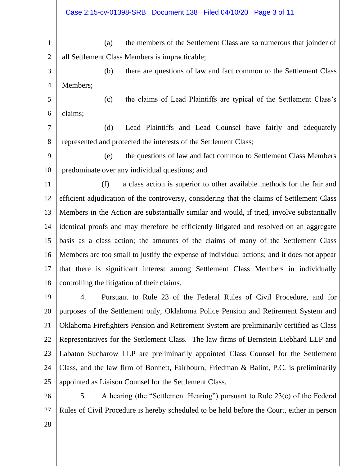1 2 (a) the members of the Settlement Class are so numerous that joinder of all Settlement Class Members is impracticable;

- 3 4 (b) there are questions of law and fact common to the Settlement Class Members;
- 5 6 (c) the claims of Lead Plaintiffs are typical of the Settlement Class's claims;

7 8 (d) Lead Plaintiffs and Lead Counsel have fairly and adequately represented and protected the interests of the Settlement Class;

- 9 10 (e) the questions of law and fact common to Settlement Class Members predominate over any individual questions; and
- 11 12 13 14 15 16 17 18 (f) a class action is superior to other available methods for the fair and efficient adjudication of the controversy, considering that the claims of Settlement Class Members in the Action are substantially similar and would, if tried, involve substantially identical proofs and may therefore be efficiently litigated and resolved on an aggregate basis as a class action; the amounts of the claims of many of the Settlement Class Members are too small to justify the expense of individual actions; and it does not appear that there is significant interest among Settlement Class Members in individually controlling the litigation of their claims.

19 20 21 22 23 24 25 4. Pursuant to Rule 23 of the Federal Rules of Civil Procedure, and for purposes of the Settlement only, Oklahoma Police Pension and Retirement System and Oklahoma Firefighters Pension and Retirement System are preliminarily certified as Class Representatives for the Settlement Class. The law firms of Bernstein Liebhard LLP and Labaton Sucharow LLP are preliminarily appointed Class Counsel for the Settlement Class, and the law firm of Bonnett, Fairbourn, Friedman & Balint, P.C. is preliminarily appointed as Liaison Counsel for the Settlement Class.

26 27 5. A hearing (the "Settlement Hearing") pursuant to Rule 23(e) of the Federal Rules of Civil Procedure is hereby scheduled to be held before the Court, either in person

28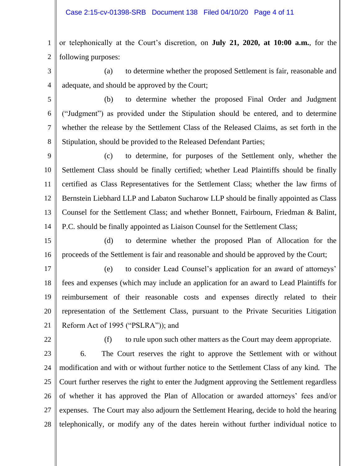1 2 or telephonically at the Court's discretion, on **July 21, 2020, at 10:00 a.m.**, for the following purposes:

- 3 4 (a) to determine whether the proposed Settlement is fair, reasonable and adequate, and should be approved by the Court;
- 5 6 7 8 (b) to determine whether the proposed Final Order and Judgment ("Judgment") as provided under the Stipulation should be entered, and to determine whether the release by the Settlement Class of the Released Claims, as set forth in the Stipulation, should be provided to the Released Defendant Parties;
- 9 10 11 12 13 14 (c) to determine, for purposes of the Settlement only, whether the Settlement Class should be finally certified; whether Lead Plaintiffs should be finally certified as Class Representatives for the Settlement Class; whether the law firms of Bernstein Liebhard LLP and Labaton Sucharow LLP should be finally appointed as Class Counsel for the Settlement Class; and whether Bonnett, Fairbourn, Friedman & Balint, P.C. should be finally appointed as Liaison Counsel for the Settlement Class;
- 15 16 (d) to determine whether the proposed Plan of Allocation for the proceeds of the Settlement is fair and reasonable and should be approved by the Court;
- 17 18 19 20 21 (e) to consider Lead Counsel's application for an award of attorneys' fees and expenses (which may include an application for an award to Lead Plaintiffs for reimbursement of their reasonable costs and expenses directly related to their representation of the Settlement Class, pursuant to the Private Securities Litigation Reform Act of 1995 ("PSLRA")); and
- 22
- (f) to rule upon such other matters as the Court may deem appropriate.
- 23 24 25 26 27 28 6. The Court reserves the right to approve the Settlement with or without modification and with or without further notice to the Settlement Class of any kind. The Court further reserves the right to enter the Judgment approving the Settlement regardless of whether it has approved the Plan of Allocation or awarded attorneys' fees and/or expenses. The Court may also adjourn the Settlement Hearing, decide to hold the hearing telephonically, or modify any of the dates herein without further individual notice to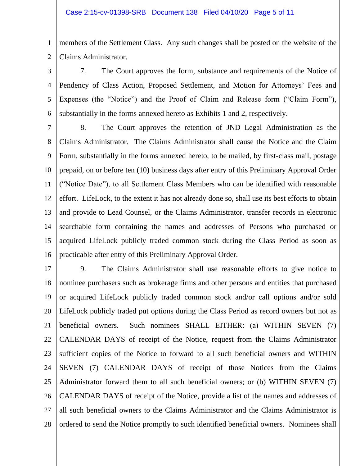1 2 members of the Settlement Class. Any such changes shall be posted on the website of the Claims Administrator.

3 4 5 6 7. The Court approves the form, substance and requirements of the Notice of Pendency of Class Action, Proposed Settlement, and Motion for Attorneys' Fees and Expenses (the "Notice") and the Proof of Claim and Release form ("Claim Form"), substantially in the forms annexed hereto as Exhibits 1 and 2, respectively.

7 8 9 10 11 12 13 14 15 16 8. The Court approves the retention of JND Legal Administration as the Claims Administrator. The Claims Administrator shall cause the Notice and the Claim Form, substantially in the forms annexed hereto, to be mailed, by first-class mail, postage prepaid, on or before ten (10) business days after entry of this Preliminary Approval Order ("Notice Date"), to all Settlement Class Members who can be identified with reasonable effort. LifeLock, to the extent it has not already done so, shall use its best efforts to obtain and provide to Lead Counsel, or the Claims Administrator, transfer records in electronic searchable form containing the names and addresses of Persons who purchased or acquired LifeLock publicly traded common stock during the Class Period as soon as practicable after entry of this Preliminary Approval Order.

17 18 19 20 21 22 23 24 25 26 27 28 9. The Claims Administrator shall use reasonable efforts to give notice to nominee purchasers such as brokerage firms and other persons and entities that purchased or acquired LifeLock publicly traded common stock and/or call options and/or sold LifeLock publicly traded put options during the Class Period as record owners but not as beneficial owners. Such nominees SHALL EITHER: (a) WITHIN SEVEN (7) CALENDAR DAYS of receipt of the Notice, request from the Claims Administrator sufficient copies of the Notice to forward to all such beneficial owners and WITHIN SEVEN (7) CALENDAR DAYS of receipt of those Notices from the Claims Administrator forward them to all such beneficial owners; or (b) WITHIN SEVEN (7) CALENDAR DAYS of receipt of the Notice, provide a list of the names and addresses of all such beneficial owners to the Claims Administrator and the Claims Administrator is ordered to send the Notice promptly to such identified beneficial owners. Nominees shall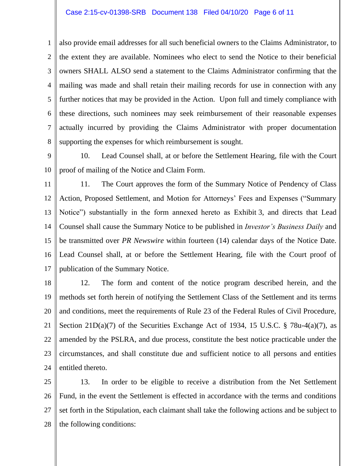1 2 3 4 5 6 7 8 also provide email addresses for all such beneficial owners to the Claims Administrator, to the extent they are available. Nominees who elect to send the Notice to their beneficial owners SHALL ALSO send a statement to the Claims Administrator confirming that the mailing was made and shall retain their mailing records for use in connection with any further notices that may be provided in the Action. Upon full and timely compliance with these directions, such nominees may seek reimbursement of their reasonable expenses actually incurred by providing the Claims Administrator with proper documentation supporting the expenses for which reimbursement is sought.

9 10 10. Lead Counsel shall, at or before the Settlement Hearing, file with the Court proof of mailing of the Notice and Claim Form.

11 12 13 14 15 16 17 11. The Court approves the form of the Summary Notice of Pendency of Class Action, Proposed Settlement, and Motion for Attorneys' Fees and Expenses ("Summary Notice") substantially in the form annexed hereto as Exhibit 3, and directs that Lead Counsel shall cause the Summary Notice to be published in *Investor's Business Daily* and be transmitted over *PR Newswire* within fourteen (14) calendar days of the Notice Date. Lead Counsel shall, at or before the Settlement Hearing, file with the Court proof of publication of the Summary Notice.

18 19 20 21 22 23 24 12. The form and content of the notice program described herein, and the methods set forth herein of notifying the Settlement Class of the Settlement and its terms and conditions, meet the requirements of Rule 23 of the Federal Rules of Civil Procedure, Section 21D(a)(7) of the Securities Exchange Act of 1934, 15 U.S.C. § 78u-4(a)(7), as amended by the PSLRA, and due process, constitute the best notice practicable under the circumstances, and shall constitute due and sufficient notice to all persons and entities entitled thereto.

25 26 27 28 13. In order to be eligible to receive a distribution from the Net Settlement Fund, in the event the Settlement is effected in accordance with the terms and conditions set forth in the Stipulation, each claimant shall take the following actions and be subject to the following conditions: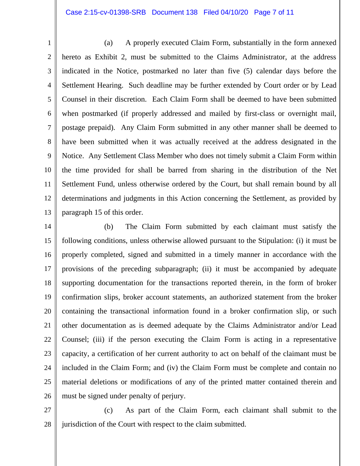## Case 2:15-cv-01398-SRB Document 138 Filed 04/10/20 Page 7 of 11

1 2 3 4 5 6 7 8 9 10 11 12 13 (a) A properly executed Claim Form, substantially in the form annexed hereto as Exhibit 2, must be submitted to the Claims Administrator, at the address indicated in the Notice, postmarked no later than five (5) calendar days before the Settlement Hearing. Such deadline may be further extended by Court order or by Lead Counsel in their discretion. Each Claim Form shall be deemed to have been submitted when postmarked (if properly addressed and mailed by first-class or overnight mail, postage prepaid). Any Claim Form submitted in any other manner shall be deemed to have been submitted when it was actually received at the address designated in the Notice. Any Settlement Class Member who does not timely submit a Claim Form within the time provided for shall be barred from sharing in the distribution of the Net Settlement Fund, unless otherwise ordered by the Court, but shall remain bound by all determinations and judgments in this Action concerning the Settlement, as provided by paragraph 15 of this order.

14 15 16 17 18 19 20 21 22 23 24 25 26 (b) The Claim Form submitted by each claimant must satisfy the following conditions, unless otherwise allowed pursuant to the Stipulation: (i) it must be properly completed, signed and submitted in a timely manner in accordance with the provisions of the preceding subparagraph; (ii) it must be accompanied by adequate supporting documentation for the transactions reported therein, in the form of broker confirmation slips, broker account statements, an authorized statement from the broker containing the transactional information found in a broker confirmation slip, or such other documentation as is deemed adequate by the Claims Administrator and/or Lead Counsel; (iii) if the person executing the Claim Form is acting in a representative capacity, a certification of her current authority to act on behalf of the claimant must be included in the Claim Form; and (iv) the Claim Form must be complete and contain no material deletions or modifications of any of the printed matter contained therein and must be signed under penalty of perjury.

27 28 (c) As part of the Claim Form, each claimant shall submit to the jurisdiction of the Court with respect to the claim submitted.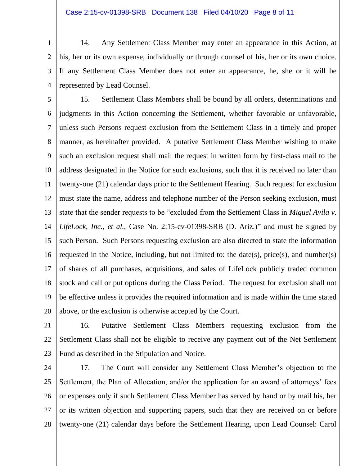1 2 3 4 14. Any Settlement Class Member may enter an appearance in this Action, at his, her or its own expense, individually or through counsel of his, her or its own choice. If any Settlement Class Member does not enter an appearance, he, she or it will be represented by Lead Counsel.

5 6 7 8 9 10 11 12 13 14 15 16 17 18 19 20 15. Settlement Class Members shall be bound by all orders, determinations and judgments in this Action concerning the Settlement, whether favorable or unfavorable, unless such Persons request exclusion from the Settlement Class in a timely and proper manner, as hereinafter provided. A putative Settlement Class Member wishing to make such an exclusion request shall mail the request in written form by first-class mail to the address designated in the Notice for such exclusions, such that it is received no later than twenty-one (21) calendar days prior to the Settlement Hearing. Such request for exclusion must state the name, address and telephone number of the Person seeking exclusion, must state that the sender requests to be "excluded from the Settlement Class in *Miguel Avila v. LifeLock, Inc., et al.,* Case No. 2:15-cv-01398-SRB (D. Ariz.)" and must be signed by such Person. Such Persons requesting exclusion are also directed to state the information requested in the Notice, including, but not limited to: the date(s), price(s), and number(s) of shares of all purchases, acquisitions, and sales of LifeLock publicly traded common stock and call or put options during the Class Period. The request for exclusion shall not be effective unless it provides the required information and is made within the time stated above, or the exclusion is otherwise accepted by the Court.

21

22 23 16. Putative Settlement Class Members requesting exclusion from the Settlement Class shall not be eligible to receive any payment out of the Net Settlement Fund as described in the Stipulation and Notice.

24 25 26 27 28 17. The Court will consider any Settlement Class Member's objection to the Settlement, the Plan of Allocation, and/or the application for an award of attorneys' fees or expenses only if such Settlement Class Member has served by hand or by mail his, her or its written objection and supporting papers, such that they are received on or before twenty-one (21) calendar days before the Settlement Hearing, upon Lead Counsel: Carol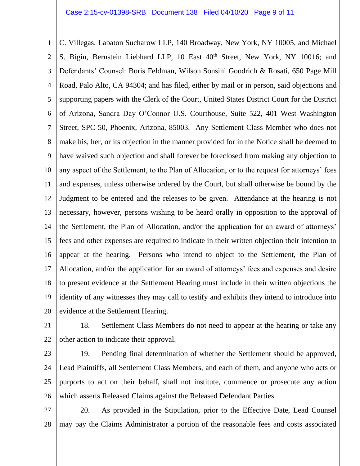## Case 2:15-cv-01398-SRB Document 138 Filed 04/10/20 Page 9 of 11

1 2 3 4 5 6 7 8 9 10 11 12 13 14 15 16 17 18 19 20 C. Villegas, Labaton Sucharow LLP, 140 Broadway, New York, NY 10005, and Michael S. Bigin, Bernstein Liebhard LLP, 10 East  $40^{th}$  Street, New York, NY 10016; and Defendants' Counsel: Boris Feldman, Wilson Sonsini Goodrich & Rosati, 650 Page Mill Road, Palo Alto, CA 94304; and has filed, either by mail or in person, said objections and supporting papers with the Clerk of the Court, United States District Court for the District of Arizona, Sandra Day O'Connor U.S. Courthouse, Suite 522, 401 West Washington Street, SPC 50, Phoenix, Arizona, 85003. Any Settlement Class Member who does not make his, her, or its objection in the manner provided for in the Notice shall be deemed to have waived such objection and shall forever be foreclosed from making any objection to any aspect of the Settlement, to the Plan of Allocation, or to the request for attorneys' fees and expenses, unless otherwise ordered by the Court, but shall otherwise be bound by the Judgment to be entered and the releases to be given. Attendance at the hearing is not necessary, however, persons wishing to be heard orally in opposition to the approval of the Settlement, the Plan of Allocation, and/or the application for an award of attorneys' fees and other expenses are required to indicate in their written objection their intention to appear at the hearing. Persons who intend to object to the Settlement, the Plan of Allocation, and/or the application for an award of attorneys' fees and expenses and desire to present evidence at the Settlement Hearing must include in their written objections the identity of any witnesses they may call to testify and exhibits they intend to introduce into evidence at the Settlement Hearing.

21

22 18. Settlement Class Members do not need to appear at the hearing or take any other action to indicate their approval.

23

24 25 26 19. Pending final determination of whether the Settlement should be approved, Lead Plaintiffs, all Settlement Class Members, and each of them, and anyone who acts or purports to act on their behalf, shall not institute, commence or prosecute any action which asserts Released Claims against the Released Defendant Parties.

27 28 20. As provided in the Stipulation, prior to the Effective Date, Lead Counsel may pay the Claims Administrator a portion of the reasonable fees and costs associated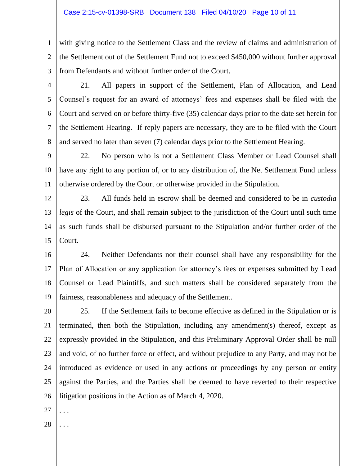1 2 3 with giving notice to the Settlement Class and the review of claims and administration of the Settlement out of the Settlement Fund not to exceed \$450,000 without further approval from Defendants and without further order of the Court.

4

5

6

7

8

21. All papers in support of the Settlement, Plan of Allocation, and Lead Counsel's request for an award of attorneys' fees and expenses shall be filed with the Court and served on or before thirty-five (35) calendar days prior to the date set herein for the Settlement Hearing. If reply papers are necessary, they are to be filed with the Court and served no later than seven (7) calendar days prior to the Settlement Hearing.

9 10 11 22. No person who is not a Settlement Class Member or Lead Counsel shall have any right to any portion of, or to any distribution of, the Net Settlement Fund unless otherwise ordered by the Court or otherwise provided in the Stipulation.

12 13 14 15 23. All funds held in escrow shall be deemed and considered to be in *custodia legis* of the Court, and shall remain subject to the jurisdiction of the Court until such time as such funds shall be disbursed pursuant to the Stipulation and/or further order of the Court.

16 17 18 19 24. Neither Defendants nor their counsel shall have any responsibility for the Plan of Allocation or any application for attorney's fees or expenses submitted by Lead Counsel or Lead Plaintiffs, and such matters shall be considered separately from the fairness, reasonableness and adequacy of the Settlement.

20 21 22 23 24 25 26 25. If the Settlement fails to become effective as defined in the Stipulation or is terminated, then both the Stipulation, including any amendment(s) thereof, except as expressly provided in the Stipulation, and this Preliminary Approval Order shall be null and void, of no further force or effect, and without prejudice to any Party, and may not be introduced as evidence or used in any actions or proceedings by any person or entity against the Parties, and the Parties shall be deemed to have reverted to their respective litigation positions in the Action as of March 4, 2020.

- 27 . . .
- 28 . . .